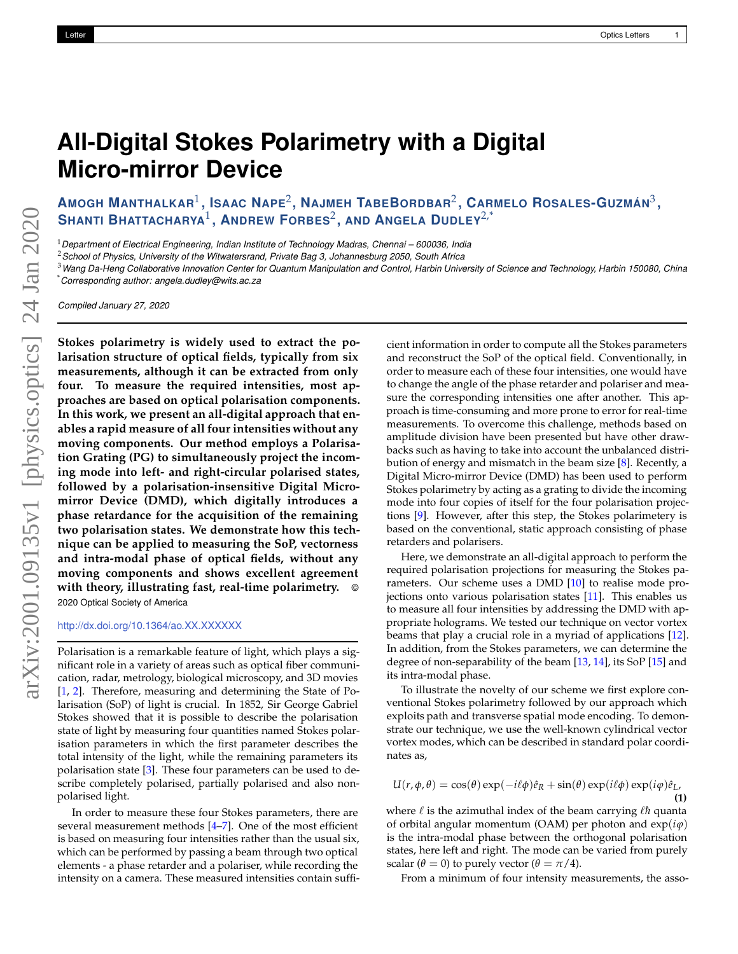## **All-Digital Stokes Polarimetry with a Digital Micro-mirror Device**

AMOGH MANTHALKAR $^1$ , ISAAC NAPE $^2$ , Najmeh TabeBordbar $^2$ , Carmelo Rosales-Guzmán $^3,$ **SHANTI BHATTACHARYA**<sup>1</sup> **, ANDREW FORBES**<sup>2</sup> **, AND ANGELA DUDLEY**2,\*

<sup>1</sup>*Department of Electrical Engineering, Indian Institute of Technology Madras, Chennai – 600036, India*

<sup>2</sup>*School of Physics, University of the Witwatersrand, Private Bag 3, Johannesburg 2050, South Africa*

<sup>3</sup>*Wang Da-Heng Collaborative Innovation Center for Quantum Manipulation and Control, Harbin University of Science and Technology, Harbin 150080, China* \**Corresponding author: angela.dudley@wits.ac.za*

*Compiled January 27, 2020*

**Stokes polarimetry is widely used to extract the polarisation structure of optical fields, typically from six measurements, although it can be extracted from only four. To measure the required intensities, most approaches are based on optical polarisation components. In this work, we present an all-digital approach that enables a rapid measure of all four intensities without any moving components. Our method employs a Polarisation Grating (PG) to simultaneously project the incoming mode into left- and right-circular polarised states, followed by a polarisation-insensitive Digital Micromirror Device (DMD), which digitally introduces a phase retardance for the acquisition of the remaining two polarisation states. We demonstrate how this technique can be applied to measuring the SoP, vectorness and intra-modal phase of optical fields, without any moving components and shows excellent agreement with theory, illustrating fast, real-time polarimetry.** © 2020 Optical Society of America

http://dx.doi.org/10.1364/ao.XX.XXXXXX

Polarisation is a remarkable feature of light, which plays a significant role in a variety of areas such as optical fiber communication, radar, metrology, biological microscopy, and 3D movies [1, 2]. Therefore, measuring and determining the State of Polarisation (SoP) of light is crucial. In 1852, Sir George Gabriel Stokes showed that it is possible to describe the polarisation state of light by measuring four quantities named Stokes polarisation parameters in which the first parameter describes the total intensity of the light, while the remaining parameters its polarisation state [3]. These four parameters can be used to describe completely polarised, partially polarised and also nonpolarised light.

In order to measure these four Stokes parameters, there are several measurement methods [4–7]. One of the most efficient is based on measuring four intensities rather than the usual six, which can be performed by passing a beam through two optical elements - a phase retarder and a polariser, while recording the intensity on a camera. These measured intensities contain sufficient information in order to compute all the Stokes parameters and reconstruct the SoP of the optical field. Conventionally, in order to measure each of these four intensities, one would have to change the angle of the phase retarder and polariser and measure the corresponding intensities one after another. This approach is time-consuming and more prone to error for real-time measurements. To overcome this challenge, methods based on amplitude division have been presented but have other drawbacks such as having to take into account the unbalanced distribution of energy and mismatch in the beam size [8]. Recently, a Digital Micro-mirror Device (DMD) has been used to perform Stokes polarimetry by acting as a grating to divide the incoming mode into four copies of itself for the four polarisation projections [9]. However, after this step, the Stokes polarimetery is based on the conventional, static approach consisting of phase retarders and polarisers.

Here, we demonstrate an all-digital approach to perform the required polarisation projections for measuring the Stokes parameters. Our scheme uses a DMD [10] to realise mode projections onto various polarisation states [11]. This enables us to measure all four intensities by addressing the DMD with appropriate holograms. We tested our technique on vector vortex beams that play a crucial role in a myriad of applications [12]. In addition, from the Stokes parameters, we can determine the degree of non-separability of the beam [13, 14], its SoP [15] and its intra-modal phase.

To illustrate the novelty of our scheme we first explore conventional Stokes polarimetry followed by our approach which exploits path and transverse spatial mode encoding. To demonstrate our technique, we use the well-known cylindrical vector vortex modes, which can be described in standard polar coordinates as,

$$
U(r, \phi, \theta) = \cos(\theta) \exp(-i\ell\phi)\hat{e}_R + \sin(\theta) \exp(i\ell\phi) \exp(i\phi)\hat{e}_L,
$$
\n(1)

where  $\ell$  is the azimuthal index of the beam carrying  $\ell$ *h* quanta of orbital angular momentum (OAM) per photon and  $exp(i\varphi)$ is the intra-modal phase between the orthogonal polarisation states, here left and right. The mode can be varied from purely scalar ( $\theta = 0$ ) to purely vector ( $\theta = \pi/4$ ).

From a minimum of four intensity measurements, the asso-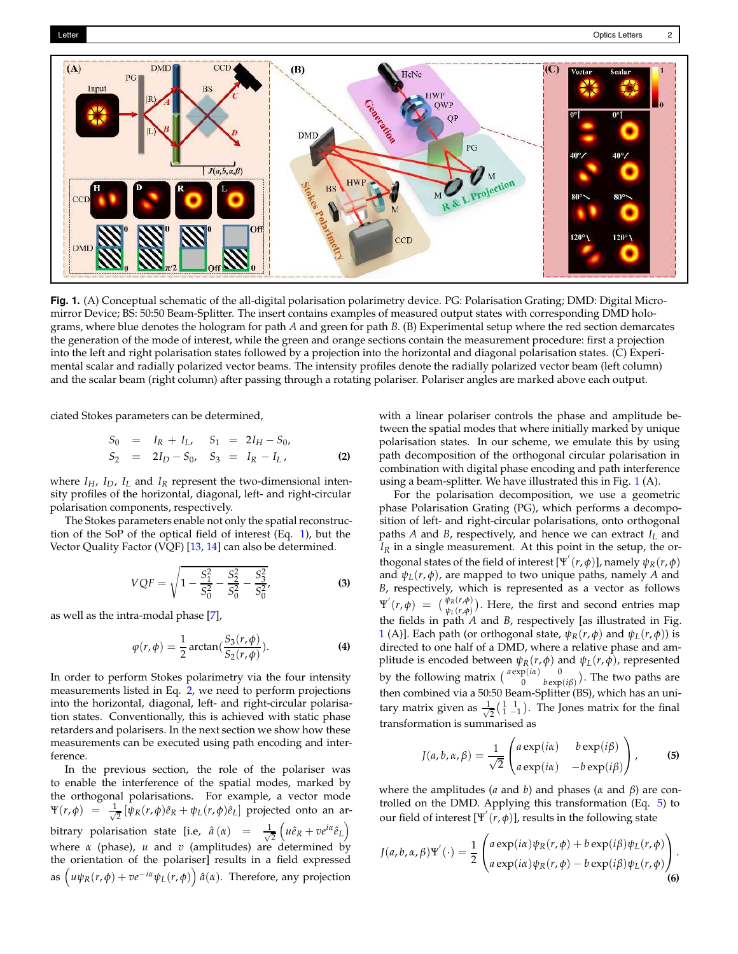

**Fig. 1.** (A) Conceptual schematic of the all-digital polarisation polarimetry device. PG: Polarisation Grating; DMD: Digital Micromirror Device; BS: 50:50 Beam-Splitter. The insert contains examples of measured output states with corresponding DMD holograms, where blue denotes the hologram for path *A* and green for path *B*. (B) Experimental setup where the red section demarcates the generation of the mode of interest, while the green and orange sections contain the measurement procedure: first a projection into the left and right polarisation states followed by a projection into the horizontal and diagonal polarisation states. (C) Experimental scalar and radially polarized vector beams. The intensity profiles denote the radially polarized vector beam (left column) and the scalar beam (right column) after passing through a rotating polariser. Polariser angles are marked above each output.

ciated Stokes parameters can be determined,

$$
S_0 = I_R + I_L, \t S_1 = 2I_H - S_0, S_2 = 2I_D - S_0, \t S_3 = I_R - I_L,
$$
 (2)

where  $I_H$ ,  $I_D$ ,  $I_L$  and  $I_R$  represent the two-dimensional intensity profiles of the horizontal, diagonal, left- and right-circular polarisation components, respectively.

The Stokes parameters enable not only the spatial reconstruction of the SoP of the optical field of interest (Eq. 1), but the Vector Quality Factor (VQF) [13, 14] can also be determined.

$$
VQF = \sqrt{1 - \frac{S_1^2}{S_0^2} - \frac{S_2^2}{S_0^2} - \frac{S_3^2}{S_0^2}},
$$
\n(3)

as well as the intra-modal phase [7],

$$
\varphi(r,\phi) = \frac{1}{2}\arctan(\frac{S_3(r,\phi)}{S_2(r,\phi)}).
$$
 (4)

In order to perform Stokes polarimetry via the four intensity measurements listed in Eq. 2, we need to perform projections into the horizontal, diagonal, left- and right-circular polarisation states. Conventionally, this is achieved with static phase retarders and polarisers. In the next section we show how these measurements can be executed using path encoding and interference.

In the previous section, the role of the polariser was to enable the interference of the spatial modes, marked by the orthogonal polarisations. For example, a vector mode  $\Psi(r,\phi) = \frac{1}{\sqrt{2}}$  $\frac{1}{2} [\psi_R(r,\phi)\hat{e}_R + \psi_L(r,\phi)\hat{e}_L]$  projected onto an arbitrary polarisation state [i.e,  $\hat{a}(\alpha) = \frac{1}{\sqrt{2\pi}}$  $\frac{1}{2}\left(u\hat{e}_R + v e^{i\alpha}\hat{e}_L\right)$ where *α* (phase), *u* and *v* (amplitudes) are determined by the orientation of the polariser] results in a field expressed as  $\left(u\psi_R(r,\phi)+v e^{-i\alpha}\psi_L(r,\phi)\right)\hat{a}(\alpha)$ . Therefore, any projection

with a linear polariser controls the phase and amplitude between the spatial modes that where initially marked by unique polarisation states. In our scheme, we emulate this by using path decomposition of the orthogonal circular polarisation in combination with digital phase encoding and path interference using a beam-splitter. We have illustrated this in Fig. 1 (A).

For the polarisation decomposition, we use a geometric phase Polarisation Grating (PG), which performs a decomposition of left- and right-circular polarisations, onto orthogonal paths *A* and *B*, respectively, and hence we can extract *I<sup>L</sup>* and *I<sup>R</sup>* in a single measurement. At this point in the setup, the orthogonal states of the field of interest  $[\Psi^{'}(r,\phi)]$ , namely  $\psi_{R}(r,\phi)$ and  $\psi_L(r, \phi)$ , are mapped to two unique paths, namely *A* and *B*, respectively, which is represented as a vector as follows  $\Psi'(r,\phi) = \left( \frac{\psi_R(r,\phi)}{\psi_L(r,\phi)} \right)$ . Here, the first and second entries map the fields in path *A* and *B*, respectively [as illustrated in Fig. 1 (A)]. Each path (or orthogonal state,  $\psi_R(r, \phi)$  and  $\psi_L(r, \phi)$ ) is directed to one half of a DMD, where a relative phase and amplitude is encoded between *ψR*(*r*, *φ*) and *ψL*(*r*, *φ*), represented by the following matrix  $\begin{pmatrix} a \exp(i\alpha) & 0 \\ 0 & b \exp(i\beta) \end{pmatrix}$ . The two paths are then combined via a 50:50 Beam-Splitter (BS), which has an unitary matrix given as  $\frac{1}{\sqrt{2}}$  $\frac{1}{2}$  $\left(\begin{matrix} 1 & 1 \\ 1 & -1 \end{matrix}\right)$ . The Jones matrix for the final transformation is summarised as

$$
J(a, b, \alpha, \beta) = \frac{1}{\sqrt{2}} \begin{pmatrix} a \exp(i\alpha) & b \exp(i\beta) \\ a \exp(i\alpha) & -b \exp(i\beta) \end{pmatrix},
$$
 (5)

where the amplitudes (*a* and *b*) and phases (*α* and *β*) are controlled on the DMD. Applying this transformation (Eq. 5) to our field of interest  $[\Psi^{'}(r,\phi)]$ , results in the following state

$$
J(a,b,\alpha,\beta)\Psi'(\cdot)=\frac{1}{2}\begin{pmatrix} a\exp(i\alpha)\psi_R(r,\phi)+b\exp(i\beta)\psi_L(r,\phi)\\ a\exp(i\alpha)\psi_R(r,\phi)-b\exp(i\beta)\psi_L(r,\phi) \end{pmatrix}.
$$
\n(6)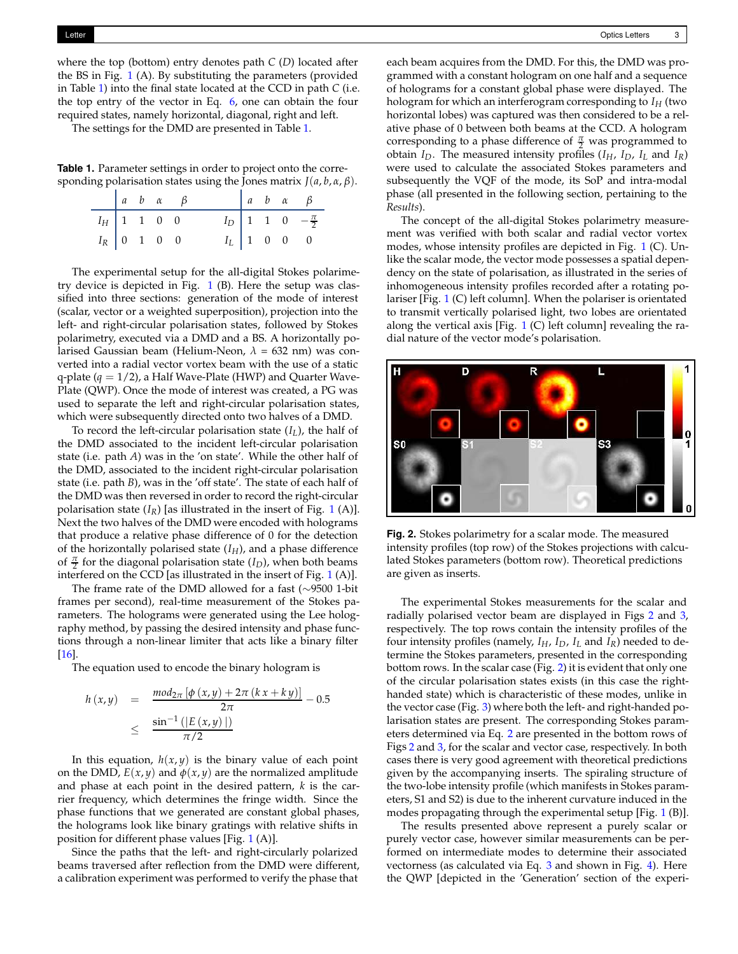where the top (bottom) entry denotes path *C* (*D*) located after the BS in Fig. 1 (A). By substituting the parameters (provided in Table 1) into the final state located at the CCD in path *C* (i.e. the top entry of the vector in Eq. 6, one can obtain the four required states, namely horizontal, diagonal, right and left.

The settings for the DMD are presented in Table 1.

**Table 1.** Parameter settings in order to project onto the corresponding polarisation states using the Jones matrix  $J(a, b, \alpha, \beta)$ .

|               |  | $a \quad b \quad \alpha \quad \beta$ |  |  | $a \quad b \quad \alpha \quad \beta$ |
|---------------|--|--------------------------------------|--|--|--------------------------------------|
| $I_H$ 1 1 0 0 |  |                                      |  |  | $I_D$ 1 1 0 $-\frac{\pi}{2}$         |
| $I_R$ 0 1 0 0 |  |                                      |  |  | $I_L$ 1 0 0 0                        |

The experimental setup for the all-digital Stokes polarimetry device is depicted in Fig.  $1$  (B). Here the setup was classified into three sections: generation of the mode of interest (scalar, vector or a weighted superposition), projection into the left- and right-circular polarisation states, followed by Stokes polarimetry, executed via a DMD and a BS. A horizontally polarised Gaussian beam (Helium-Neon, *λ* = 632 nm) was converted into a radial vector vortex beam with the use of a static q-plate  $(q = 1/2)$ , a Half Wave-Plate (HWP) and Quarter Wave-Plate (QWP). Once the mode of interest was created, a PG was used to separate the left and right-circular polarisation states, which were subsequently directed onto two halves of a DMD.

To record the left-circular polarisation state (*IL*), the half of the DMD associated to the incident left-circular polarisation state (i.e. path *A*) was in the 'on state'. While the other half of the DMD, associated to the incident right-circular polarisation state (i.e. path *B*), was in the 'off state'. The state of each half of the DMD was then reversed in order to record the right-circular polarisation state  $(I_R)$  [as illustrated in the insert of Fig. 1 (A)]. Next the two halves of the DMD were encoded with holograms that produce a relative phase difference of 0 for the detection of the horizontally polarised state (*IH*), and a phase difference of  $\frac{\pi}{2}$  for the diagonal polarisation state (*I<sub>D</sub>*), when both beams interfered on the CCD [as illustrated in the insert of Fig. 1 (A)].

The frame rate of the DMD allowed for a fast (∼9500 1-bit frames per second), real-time measurement of the Stokes parameters. The holograms were generated using the Lee holography method, by passing the desired intensity and phase functions through a non-linear limiter that acts like a binary filter [16].

The equation used to encode the binary hologram is

$$
h(x,y) = \frac{mod_{2\pi} [\phi(x,y) + 2\pi (kx + ky)]}{2\pi} - 0.5
$$
  
 
$$
\leq \frac{\sin^{-1} (|E(x,y)|)}{\pi/2}
$$

In this equation,  $h(x, y)$  is the binary value of each point on the DMD,  $E(x, y)$  and  $\phi(x, y)$  are the normalized amplitude and phase at each point in the desired pattern, *k* is the carrier frequency, which determines the fringe width. Since the phase functions that we generated are constant global phases, the holograms look like binary gratings with relative shifts in position for different phase values [Fig. 1 (A)].

Since the paths that the left- and right-circularly polarized beams traversed after reflection from the DMD were different, a calibration experiment was performed to verify the phase that

each beam acquires from the DMD. For this, the DMD was programmed with a constant hologram on one half and a sequence of holograms for a constant global phase were displayed. The hologram for which an interferogram corresponding to *I<sup>H</sup>* (two horizontal lobes) was captured was then considered to be a relative phase of 0 between both beams at the CCD. A hologram corresponding to a phase difference of  $\frac{\pi}{2}$  was programmed to obtain  $I_D$ . The measured intensity profiles  $(I_H, I_D, I_L$  and  $I_R$ ) were used to calculate the associated Stokes parameters and subsequently the VQF of the mode, its SoP and intra-modal phase (all presented in the following section, pertaining to the *Results*).

The concept of the all-digital Stokes polarimetry measurement was verified with both scalar and radial vector vortex modes, whose intensity profiles are depicted in Fig. 1 (C). Unlike the scalar mode, the vector mode possesses a spatial dependency on the state of polarisation, as illustrated in the series of inhomogeneous intensity profiles recorded after a rotating polariser [Fig. 1 (C) left column]. When the polariser is orientated to transmit vertically polarised light, two lobes are orientated along the vertical axis [Fig.  $1$  (C) left column] revealing the radial nature of the vector mode's polarisation.



**Fig. 2.** Stokes polarimetry for a scalar mode. The measured intensity profiles (top row) of the Stokes projections with calculated Stokes parameters (bottom row). Theoretical predictions are given as inserts.

The experimental Stokes measurements for the scalar and radially polarised vector beam are displayed in Figs 2 and 3, respectively. The top rows contain the intensity profiles of the four intensity profiles (namely,  $I_H$ ,  $I_D$ ,  $I_L$  and  $I_R$ ) needed to determine the Stokes parameters, presented in the corresponding bottom rows. In the scalar case (Fig. 2) it is evident that only one of the circular polarisation states exists (in this case the righthanded state) which is characteristic of these modes, unlike in the vector case (Fig. 3) where both the left- and right-handed polarisation states are present. The corresponding Stokes parameters determined via Eq. 2 are presented in the bottom rows of Figs 2 and 3, for the scalar and vector case, respectively. In both cases there is very good agreement with theoretical predictions given by the accompanying inserts. The spiraling structure of the two-lobe intensity profile (which manifests in Stokes parameters, S1 and S2) is due to the inherent curvature induced in the modes propagating through the experimental setup [Fig. 1 (B)].

The results presented above represent a purely scalar or purely vector case, however similar measurements can be performed on intermediate modes to determine their associated vectorness (as calculated via Eq. 3 and shown in Fig. 4). Here the QWP [depicted in the 'Generation' section of the experi-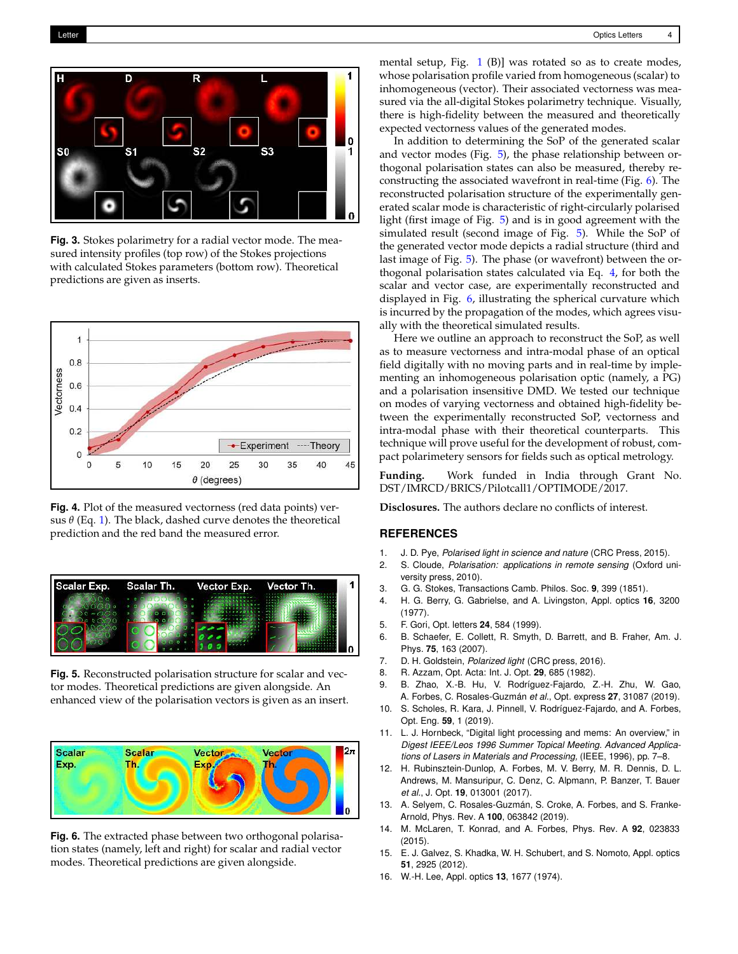

**Fig. 3.** Stokes polarimetry for a radial vector mode. The measured intensity profiles (top row) of the Stokes projections with calculated Stokes parameters (bottom row). Theoretical predictions are given as inserts.



**Fig. 4.** Plot of the measured vectorness (red data points) versus  $\theta$  (Eq. 1). The black, dashed curve denotes the theoretical prediction and the red band the measured error.



**Fig. 5.** Reconstructed polarisation structure for scalar and vector modes. Theoretical predictions are given alongside. An enhanced view of the polarisation vectors is given as an insert.



**Fig. 6.** The extracted phase between two orthogonal polarisation states (namely, left and right) for scalar and radial vector modes. Theoretical predictions are given alongside.

mental setup, Fig. 1 (B)] was rotated so as to create modes, whose polarisation profile varied from homogeneous (scalar) to inhomogeneous (vector). Their associated vectorness was measured via the all-digital Stokes polarimetry technique. Visually, there is high-fidelity between the measured and theoretically expected vectorness values of the generated modes.

In addition to determining the SoP of the generated scalar and vector modes (Fig. 5), the phase relationship between orthogonal polarisation states can also be measured, thereby reconstructing the associated wavefront in real-time (Fig. 6). The reconstructed polarisation structure of the experimentally generated scalar mode is characteristic of right-circularly polarised light (first image of Fig. 5) and is in good agreement with the simulated result (second image of Fig. 5). While the SoP of the generated vector mode depicts a radial structure (third and last image of Fig. 5). The phase (or wavefront) between the orthogonal polarisation states calculated via Eq. 4, for both the scalar and vector case, are experimentally reconstructed and displayed in Fig. 6, illustrating the spherical curvature which is incurred by the propagation of the modes, which agrees visually with the theoretical simulated results.

Here we outline an approach to reconstruct the SoP, as well as to measure vectorness and intra-modal phase of an optical field digitally with no moving parts and in real-time by implementing an inhomogeneous polarisation optic (namely, a PG) and a polarisation insensitive DMD. We tested our technique on modes of varying vectorness and obtained high-fidelity between the experimentally reconstructed SoP, vectorness and intra-modal phase with their theoretical counterparts. This technique will prove useful for the development of robust, compact polarimetery sensors for fields such as optical metrology.

**Funding.** Work funded in India through Grant No. DST/IMRCD/BRICS/Pilotcall1/OPTIMODE/2017.

**Disclosures.** The authors declare no conflicts of interest.

## **REFERENCES**

- 1. J. D. Pye, *Polarised light in science and nature* (CRC Press, 2015).
- 2. S. Cloude, *Polarisation: applications in remote sensing* (Oxford university press, 2010).
- 3. G. G. Stokes, Transactions Camb. Philos. Soc. **9**, 399 (1851).
- 4. H. G. Berry, G. Gabrielse, and A. Livingston, Appl. optics **16**, 3200 (1977).
- 5. F. Gori, Opt. letters **24**, 584 (1999).
- 6. B. Schaefer, E. Collett, R. Smyth, D. Barrett, and B. Fraher, Am. J. Phys. **75**, 163 (2007).
- 7. D. H. Goldstein, *Polarized light* (CRC press, 2016).
- 8. R. Azzam, Opt. Acta: Int. J. Opt. **29**, 685 (1982).
- 9. B. Zhao, X.-B. Hu, V. Rodríguez-Fajardo, Z.-H. Zhu, W. Gao, A. Forbes, C. Rosales-Guzmán *et al.*, Opt. express **27**, 31087 (2019).
- 10. S. Scholes, R. Kara, J. Pinnell, V. Rodríguez-Fajardo, and A. Forbes, Opt. Eng. **59**, 1 (2019).
- 11. L. J. Hornbeck, "Digital light processing and mems: An overview," in *Digest IEEE/Leos 1996 Summer Topical Meeting. Advanced Applications of Lasers in Materials and Processing,* (IEEE, 1996), pp. 7–8.
- 12. H. Rubinsztein-Dunlop, A. Forbes, M. V. Berry, M. R. Dennis, D. L. Andrews, M. Mansuripur, C. Denz, C. Alpmann, P. Banzer, T. Bauer *et al.*, J. Opt. **19**, 013001 (2017).
- 13. A. Selyem, C. Rosales-Guzmán, S. Croke, A. Forbes, and S. Franke-Arnold, Phys. Rev. A **100**, 063842 (2019).
- 14. M. McLaren, T. Konrad, and A. Forbes, Phys. Rev. A **92**, 023833 (2015).
- 15. E. J. Galvez, S. Khadka, W. H. Schubert, and S. Nomoto, Appl. optics **51**, 2925 (2012).
- 16. W.-H. Lee, Appl. optics **13**, 1677 (1974).